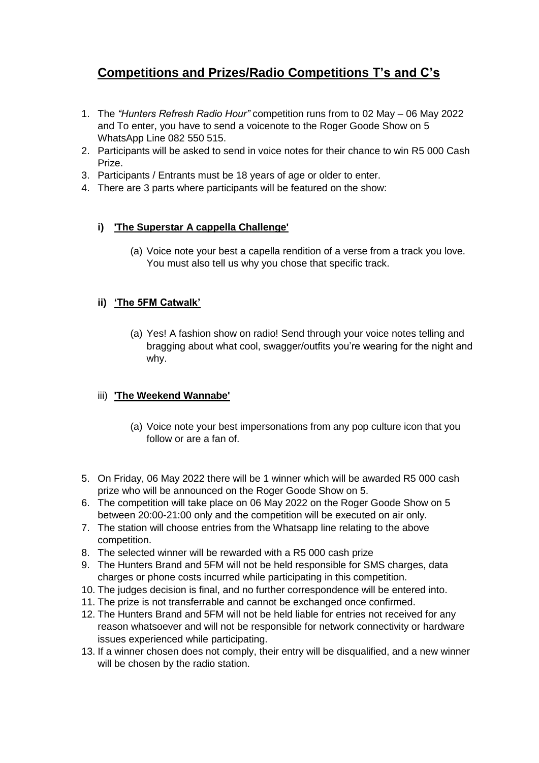# **Competitions and Prizes/Radio Competitions T's and C's**

- 1. The *"Hunters Refresh Radio Hour"* competition runs from to 02 May 06 May 2022 and To enter, you have to send a voicenote to the Roger Goode Show on 5 WhatsApp Line 082 550 515.
- 2. Participants will be asked to send in voice notes for their chance to win R5 000 Cash Prize.
- 3. Participants / Entrants must be 18 years of age or older to enter.
- 4. There are 3 parts where participants will be featured on the show:

## **i) 'The Superstar A cappella Challenge'**

(a) Voice note your best a capella rendition of a verse from a track you love. You must also tell us why you chose that specific track.

## **ii) 'The 5FM Catwalk'**

(a) Yes! A fashion show on radio! Send through your voice notes telling and bragging about what cool, swagger/outfits you're wearing for the night and why.

### iii) **'The Weekend Wannabe'**

- (a) Voice note your best impersonations from any pop culture icon that you follow or are a fan of.
- 5. On Friday, 06 May 2022 there will be 1 winner which will be awarded R5 000 cash prize who will be announced on the Roger Goode Show on 5.
- 6. The competition will take place on 06 May 2022 on the Roger Goode Show on 5 between 20:00-21:00 only and the competition will be executed on air only.
- 7. The station will choose entries from the Whatsapp line relating to the above competition.
- 8. The selected winner will be rewarded with a R5 000 cash prize
- 9. The Hunters Brand and 5FM will not be held responsible for SMS charges, data charges or phone costs incurred while participating in this competition.
- 10. The judges decision is final, and no further correspondence will be entered into.
- 11. The prize is not transferrable and cannot be exchanged once confirmed.
- 12. The Hunters Brand and 5FM will not be held liable for entries not received for any reason whatsoever and will not be responsible for network connectivity or hardware issues experienced while participating.
- 13. If a winner chosen does not comply, their entry will be disqualified, and a new winner will be chosen by the radio station.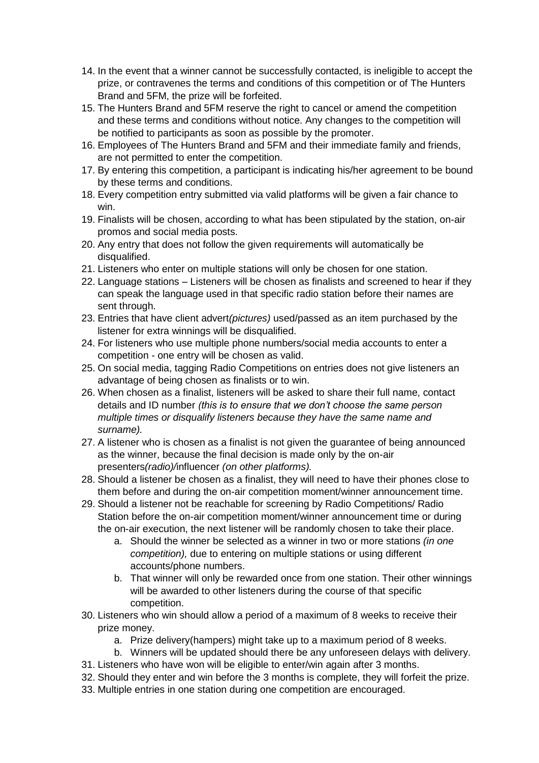- 14. In the event that a winner cannot be successfully contacted, is ineligible to accept the prize, or contravenes the terms and conditions of this competition or of The Hunters Brand and 5FM, the prize will be forfeited.
- 15. The Hunters Brand and 5FM reserve the right to cancel or amend the competition and these terms and conditions without notice. Any changes to the competition will be notified to participants as soon as possible by the promoter.
- 16. Employees of The Hunters Brand and 5FM and their immediate family and friends, are not permitted to enter the competition.
- 17. By entering this competition, a participant is indicating his/her agreement to be bound by these terms and conditions.
- 18. Every competition entry submitted via valid platforms will be given a fair chance to win.
- 19. Finalists will be chosen, according to what has been stipulated by the station, on-air promos and social media posts.
- 20. Any entry that does not follow the given requirements will automatically be disqualified.
- 21. Listeners who enter on multiple stations will only be chosen for one station.
- 22. Language stations Listeners will be chosen as finalists and screened to hear if they can speak the language used in that specific radio station before their names are sent through.
- 23. Entries that have client advert*(pictures)* used/passed as an item purchased by the listener for extra winnings will be disqualified.
- 24. For listeners who use multiple phone numbers/social media accounts to enter a competition - one entry will be chosen as valid.
- 25. On social media, tagging Radio Competitions on entries does not give listeners an advantage of being chosen as finalists or to win.
- 26. When chosen as a finalist, listeners will be asked to share their full name, contact details and ID number *(this is to ensure that we don't choose the same person multiple times or disqualify listeners because they have the same name and surname).*
- 27. A listener who is chosen as a finalist is not given the guarantee of being announced as the winner, because the final decision is made only by the on-air presenters*(radio)/*influencer *(on other platforms).*
- 28. Should a listener be chosen as a finalist, they will need to have their phones close to them before and during the on-air competition moment/winner announcement time.
- 29. Should a listener not be reachable for screening by Radio Competitions/ Radio Station before the on-air competition moment/winner announcement time or during the on-air execution, the next listener will be randomly chosen to take their place.
	- a. Should the winner be selected as a winner in two or more stations *(in one competition),* due to entering on multiple stations or using different accounts/phone numbers.
	- b. That winner will only be rewarded once from one station. Their other winnings will be awarded to other listeners during the course of that specific competition.
- 30. Listeners who win should allow a period of a maximum of 8 weeks to receive their prize money.
	- a. Prize delivery(hampers) might take up to a maximum period of 8 weeks.
	- b. Winners will be updated should there be any unforeseen delays with delivery.
- 31. Listeners who have won will be eligible to enter/win again after 3 months.
- 32. Should they enter and win before the 3 months is complete, they will forfeit the prize.
- 33. Multiple entries in one station during one competition are encouraged.